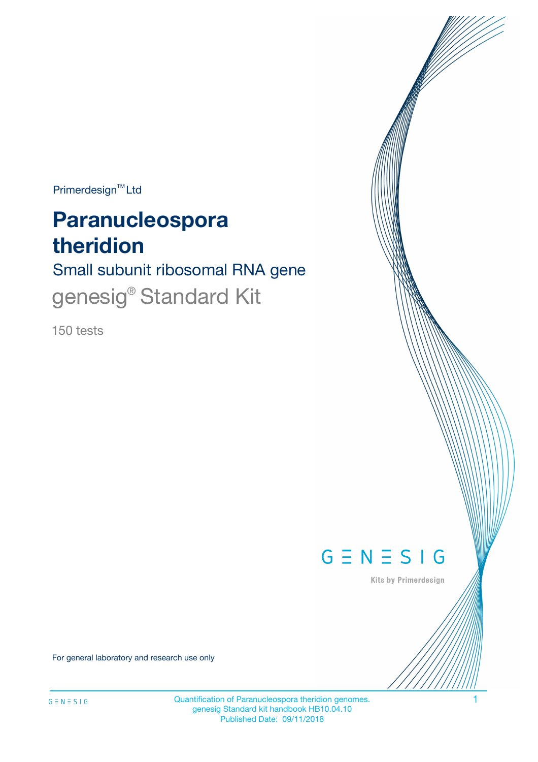$Primerdesign^{\text{TM}}Ltd$ 

# **Paranucleospora theridion**

# Small subunit ribosomal RNA gene genesig® Standard Kit

150 tests



Kits by Primerdesign

For general laboratory and research use only

Quantification of Paranucleospora theridion genomes. 1 genesig Standard kit handbook HB10.04.10 Published Date: 09/11/2018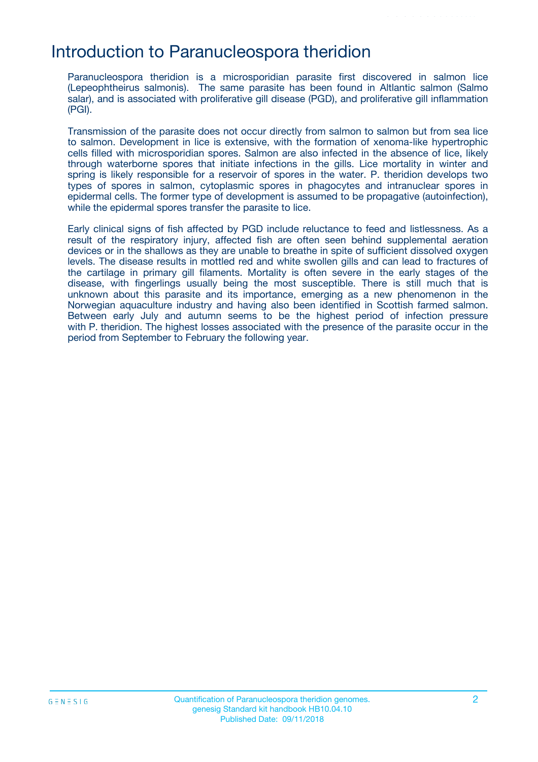### Introduction to Paranucleospora theridion

Paranucleospora theridion is a microsporidian parasite first discovered in salmon lice (Lepeophtheirus salmonis). The same parasite has been found in Altlantic salmon (Salmo salar), and is associated with proliferative gill disease (PGD), and proliferative gill inflammation (PGI).

Transmission of the parasite does not occur directly from salmon to salmon but from sea lice to salmon. Development in lice is extensive, with the formation of xenoma-like hypertrophic cells filled with microsporidian spores. Salmon are also infected in the absence of lice, likely through waterborne spores that initiate infections in the gills. Lice mortality in winter and spring is likely responsible for a reservoir of spores in the water. P. theridion develops two types of spores in salmon, cytoplasmic spores in phagocytes and intranuclear spores in epidermal cells. The former type of development is assumed to be propagative (autoinfection), while the epidermal spores transfer the parasite to lice.

Early clinical signs of fish affected by PGD include reluctance to feed and listlessness. As a result of the respiratory injury, affected fish are often seen behind supplemental aeration devices or in the shallows as they are unable to breathe in spite of sufficient dissolved oxygen levels. The disease results in mottled red and white swollen gills and can lead to fractures of the cartilage in primary gill filaments. Mortality is often severe in the early stages of the disease, with fingerlings usually being the most susceptible. There is still much that is unknown about this parasite and its importance, emerging as a new phenomenon in the Norwegian aquaculture industry and having also been identified in Scottish farmed salmon. Between early July and autumn seems to be the highest period of infection pressure with P. theridion. The highest losses associated with the presence of the parasite occur in the period from September to February the following year.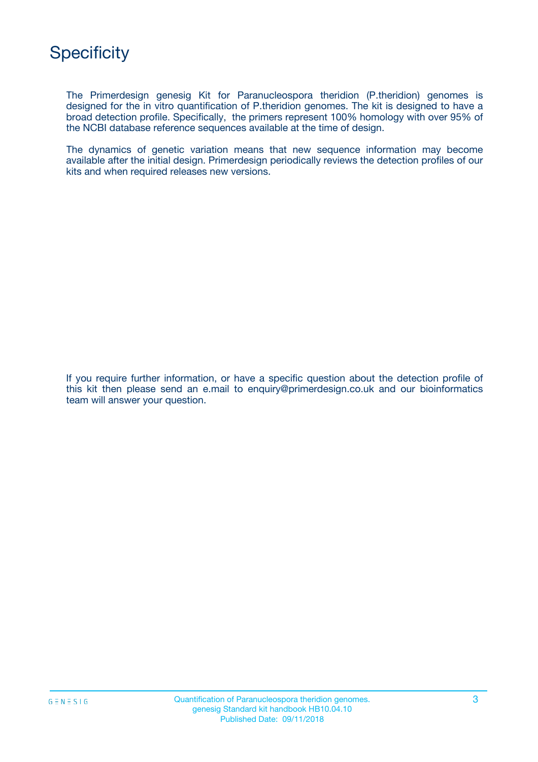

The Primerdesign genesig Kit for Paranucleospora theridion (P.theridion) genomes is designed for the in vitro quantification of P.theridion genomes. The kit is designed to have a broad detection profile. Specifically, the primers represent 100% homology with over 95% of the NCBI database reference sequences available at the time of design.

The dynamics of genetic variation means that new sequence information may become available after the initial design. Primerdesign periodically reviews the detection profiles of our kits and when required releases new versions.

If you require further information, or have a specific question about the detection profile of this kit then please send an e.mail to enquiry@primerdesign.co.uk and our bioinformatics team will answer your question.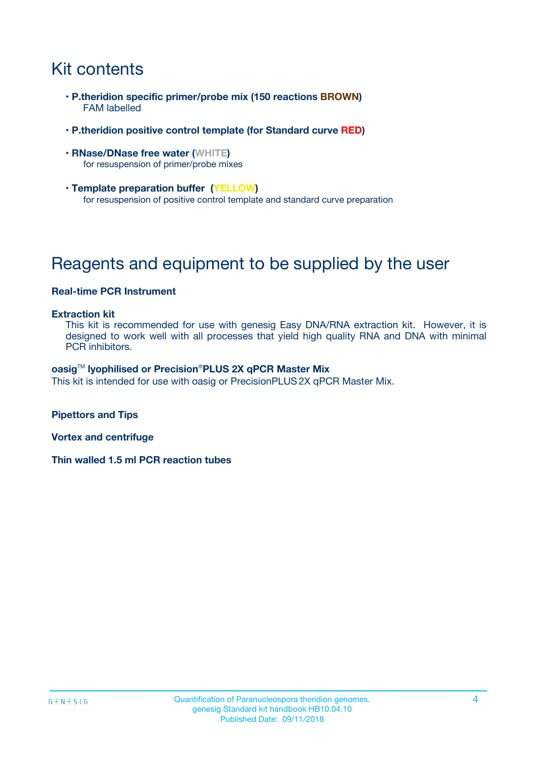# Kit contents

- **P.theridion specific primer/probe mix (150 reactions BROWN)** FAM labelled
- **P.theridion positive control template (for Standard curve RED)**
- **RNase/DNase free water (WHITE)** for resuspension of primer/probe mixes
- **Template preparation buffer (YELLOW)** for resuspension of positive control template and standard curve preparation

# Reagents and equipment to be supplied by the user

#### **Real-time PCR Instrument**

#### **Extraction kit**

This kit is recommended for use with genesig Easy DNA/RNA extraction kit. However, it is designed to work well with all processes that yield high quality RNA and DNA with minimal PCR inhibitors.

#### **oasig**TM **lyophilised or Precision**®**PLUS 2X qPCR Master Mix**

This kit is intended for use with oasig or PrecisionPLUS2X qPCR Master Mix.

**Pipettors and Tips**

**Vortex and centrifuge**

**Thin walled 1.5 ml PCR reaction tubes**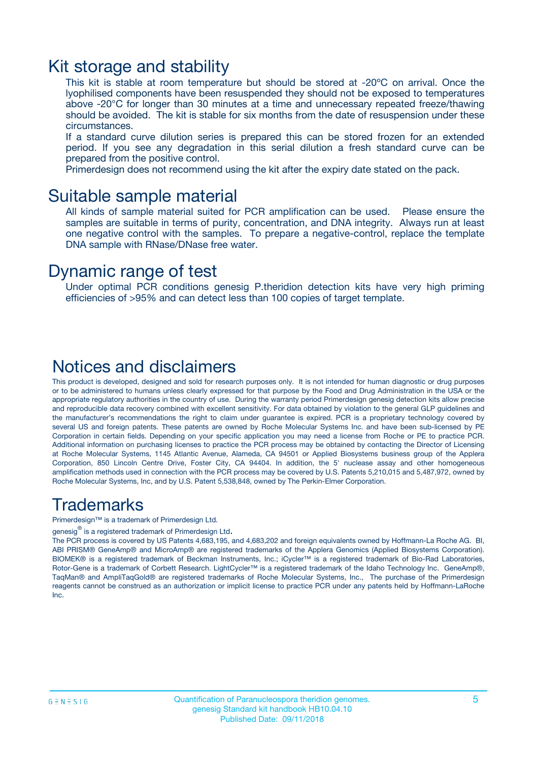### Kit storage and stability

This kit is stable at room temperature but should be stored at -20ºC on arrival. Once the lyophilised components have been resuspended they should not be exposed to temperatures above -20°C for longer than 30 minutes at a time and unnecessary repeated freeze/thawing should be avoided. The kit is stable for six months from the date of resuspension under these circumstances.

If a standard curve dilution series is prepared this can be stored frozen for an extended period. If you see any degradation in this serial dilution a fresh standard curve can be prepared from the positive control.

Primerdesign does not recommend using the kit after the expiry date stated on the pack.

### Suitable sample material

All kinds of sample material suited for PCR amplification can be used. Please ensure the samples are suitable in terms of purity, concentration, and DNA integrity. Always run at least one negative control with the samples. To prepare a negative-control, replace the template DNA sample with RNase/DNase free water.

### Dynamic range of test

Under optimal PCR conditions genesig P.theridion detection kits have very high priming efficiencies of >95% and can detect less than 100 copies of target template.

### Notices and disclaimers

This product is developed, designed and sold for research purposes only. It is not intended for human diagnostic or drug purposes or to be administered to humans unless clearly expressed for that purpose by the Food and Drug Administration in the USA or the appropriate regulatory authorities in the country of use. During the warranty period Primerdesign genesig detection kits allow precise and reproducible data recovery combined with excellent sensitivity. For data obtained by violation to the general GLP guidelines and the manufacturer's recommendations the right to claim under guarantee is expired. PCR is a proprietary technology covered by several US and foreign patents. These patents are owned by Roche Molecular Systems Inc. and have been sub-licensed by PE Corporation in certain fields. Depending on your specific application you may need a license from Roche or PE to practice PCR. Additional information on purchasing licenses to practice the PCR process may be obtained by contacting the Director of Licensing at Roche Molecular Systems, 1145 Atlantic Avenue, Alameda, CA 94501 or Applied Biosystems business group of the Applera Corporation, 850 Lincoln Centre Drive, Foster City, CA 94404. In addition, the 5' nuclease assay and other homogeneous amplification methods used in connection with the PCR process may be covered by U.S. Patents 5,210,015 and 5,487,972, owned by Roche Molecular Systems, Inc, and by U.S. Patent 5,538,848, owned by The Perkin-Elmer Corporation.

### Trademarks

Primerdesign™ is a trademark of Primerdesign Ltd.

genesig $^\circledR$  is a registered trademark of Primerdesign Ltd.

The PCR process is covered by US Patents 4,683,195, and 4,683,202 and foreign equivalents owned by Hoffmann-La Roche AG. BI, ABI PRISM® GeneAmp® and MicroAmp® are registered trademarks of the Applera Genomics (Applied Biosystems Corporation). BIOMEK® is a registered trademark of Beckman Instruments, Inc.; iCycler™ is a registered trademark of Bio-Rad Laboratories, Rotor-Gene is a trademark of Corbett Research. LightCycler™ is a registered trademark of the Idaho Technology Inc. GeneAmp®, TaqMan® and AmpliTaqGold® are registered trademarks of Roche Molecular Systems, Inc., The purchase of the Primerdesign reagents cannot be construed as an authorization or implicit license to practice PCR under any patents held by Hoffmann-LaRoche Inc.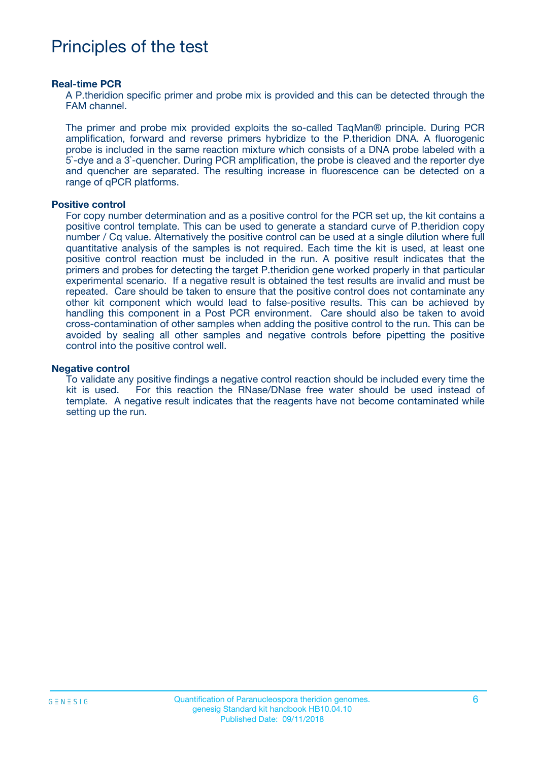## Principles of the test

#### **Real-time PCR**

A P.theridion specific primer and probe mix is provided and this can be detected through the FAM channel.

The primer and probe mix provided exploits the so-called TaqMan® principle. During PCR amplification, forward and reverse primers hybridize to the P.theridion DNA. A fluorogenic probe is included in the same reaction mixture which consists of a DNA probe labeled with a 5`-dye and a 3`-quencher. During PCR amplification, the probe is cleaved and the reporter dye and quencher are separated. The resulting increase in fluorescence can be detected on a range of qPCR platforms.

#### **Positive control**

For copy number determination and as a positive control for the PCR set up, the kit contains a positive control template. This can be used to generate a standard curve of P.theridion copy number / Cq value. Alternatively the positive control can be used at a single dilution where full quantitative analysis of the samples is not required. Each time the kit is used, at least one positive control reaction must be included in the run. A positive result indicates that the primers and probes for detecting the target P.theridion gene worked properly in that particular experimental scenario. If a negative result is obtained the test results are invalid and must be repeated. Care should be taken to ensure that the positive control does not contaminate any other kit component which would lead to false-positive results. This can be achieved by handling this component in a Post PCR environment. Care should also be taken to avoid cross-contamination of other samples when adding the positive control to the run. This can be avoided by sealing all other samples and negative controls before pipetting the positive control into the positive control well.

#### **Negative control**

To validate any positive findings a negative control reaction should be included every time the kit is used. For this reaction the RNase/DNase free water should be used instead of template. A negative result indicates that the reagents have not become contaminated while setting up the run.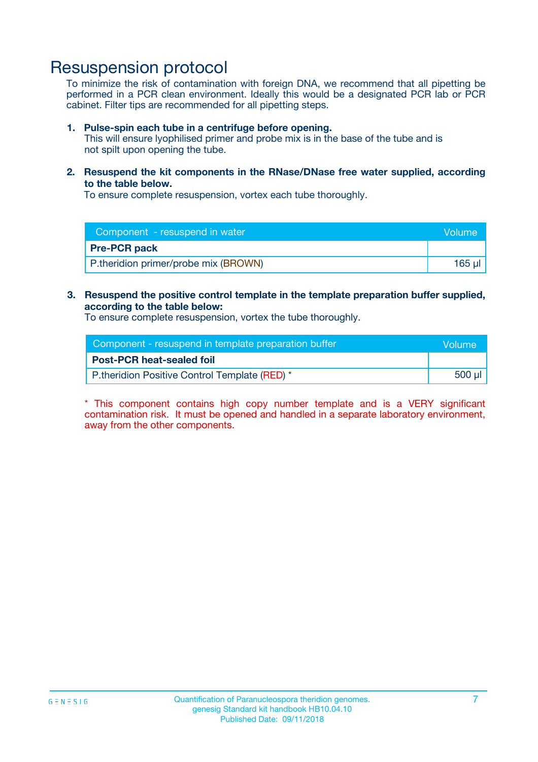## Resuspension protocol

To minimize the risk of contamination with foreign DNA, we recommend that all pipetting be performed in a PCR clean environment. Ideally this would be a designated PCR lab or PCR cabinet. Filter tips are recommended for all pipetting steps.

#### **1. Pulse-spin each tube in a centrifuge before opening.**

This will ensure lyophilised primer and probe mix is in the base of the tube and is not spilt upon opening the tube.

**2. Resuspend the kit components in the RNase/DNase free water supplied, according to the table below.**

To ensure complete resuspension, vortex each tube thoroughly.

| Component - resuspend in water       | <b>Volume</b> |
|--------------------------------------|---------------|
| <b>Pre-PCR pack</b>                  |               |
| P.theridion primer/probe mix (BROWN) | $165$ µl      |

### **3. Resuspend the positive control template in the template preparation buffer supplied, according to the table below:**

To ensure complete resuspension, vortex the tube thoroughly.

| Component - resuspend in template preparation buffer |        |  |
|------------------------------------------------------|--------|--|
| <b>Post-PCR heat-sealed foil</b>                     |        |  |
| P.theridion Positive Control Template (RED) *        | 500 µl |  |

\* This component contains high copy number template and is a VERY significant contamination risk. It must be opened and handled in a separate laboratory environment, away from the other components.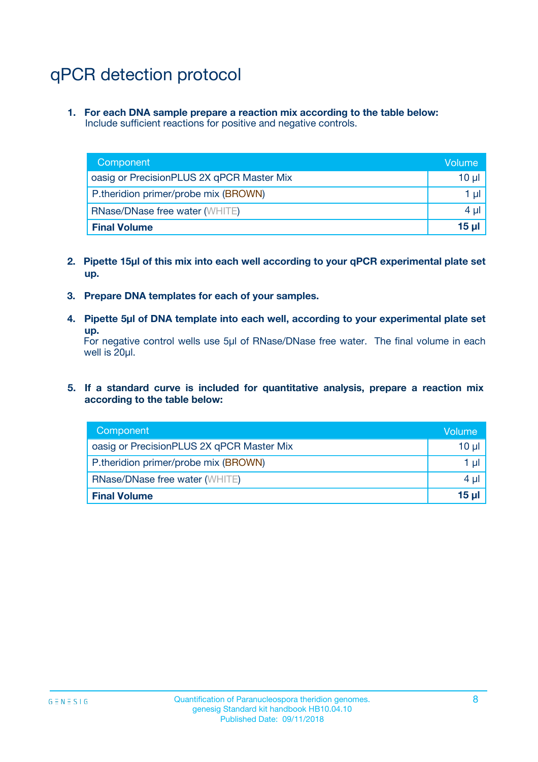# qPCR detection protocol

**1. For each DNA sample prepare a reaction mix according to the table below:** Include sufficient reactions for positive and negative controls.

| Component                                 | Volume   |
|-------------------------------------------|----------|
| oasig or PrecisionPLUS 2X qPCR Master Mix | 10 $\mu$ |
| P.theridion primer/probe mix (BROWN)      | 1 $\mu$  |
| <b>RNase/DNase free water (WHITE)</b>     | $4 \mu$  |
| <b>Final Volume</b>                       | $15$ µl  |

- **2. Pipette 15µl of this mix into each well according to your qPCR experimental plate set up.**
- **3. Prepare DNA templates for each of your samples.**
- **4. Pipette 5µl of DNA template into each well, according to your experimental plate set up.**

For negative control wells use 5µl of RNase/DNase free water. The final volume in each well is 20µl.

**5. If a standard curve is included for quantitative analysis, prepare a reaction mix according to the table below:**

| Component                                 | Volume   |
|-------------------------------------------|----------|
| oasig or PrecisionPLUS 2X qPCR Master Mix | 10 µl    |
| P.theridion primer/probe mix (BROWN)      | 1 µI     |
| <b>RNase/DNase free water (WHITE)</b>     | $4 \mu$  |
| <b>Final Volume</b>                       | $15 \mu$ |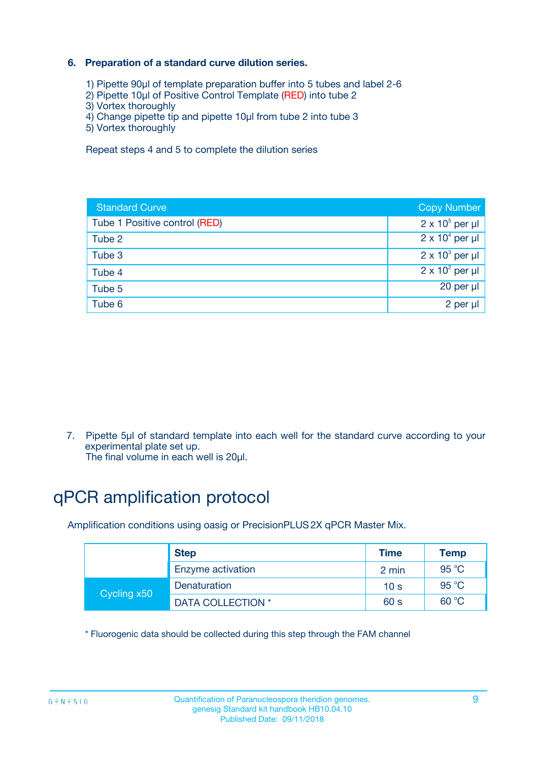### **6. Preparation of a standard curve dilution series.**

- 1) Pipette 90µl of template preparation buffer into 5 tubes and label 2-6
- 2) Pipette 10µl of Positive Control Template (RED) into tube 2
- 3) Vortex thoroughly
- 4) Change pipette tip and pipette 10µl from tube 2 into tube 3
- 5) Vortex thoroughly

Repeat steps 4 and 5 to complete the dilution series

| <b>Standard Curve</b>         | <b>Copy Number</b>     |
|-------------------------------|------------------------|
| Tube 1 Positive control (RED) | $2 \times 10^5$ per µl |
| Tube 2                        | $2 \times 10^4$ per µl |
| Tube 3                        | $2 \times 10^3$ per µl |
| Tube 4                        | $2 \times 10^2$ per µl |
| Tube 5                        | 20 per µl              |
| Tube 6                        | $2$ per $\mu$          |

7. Pipette 5µl of standard template into each well for the standard curve according to your experimental plate set up.

The final volume in each well is 20µl.

# qPCR amplification protocol

Amplification conditions using oasig or PrecisionPLUS2X qPCR Master Mix.

|             | <b>Step</b>       | <b>Time</b>     | Temp    |
|-------------|-------------------|-----------------|---------|
|             | Enzyme activation | 2 min           | 95 °C   |
| Cycling x50 | Denaturation      | 10 <sub>s</sub> | 95 $°C$ |
|             | DATA COLLECTION * | 60 s            | 60 °C   |

\* Fluorogenic data should be collected during this step through the FAM channel